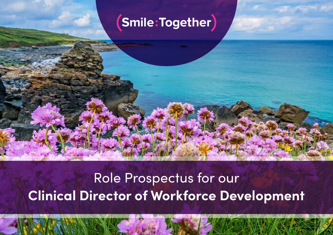### (Smile:Together)

### Role Prospectus for our **Clinical Director of Workforce Development**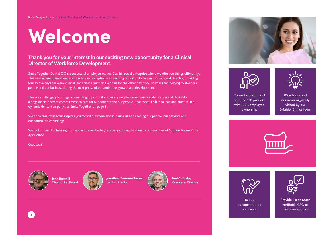# **Welcome**

#### **Thank you for your interest in our exciting new opportunity for a Clinical Director of Workforce Development.**

Smile Together Dental CIC is a successful employee-owned Cornish social enterprise where we often do things differently. This new salaried senior leadership role is no exception – an exciting opportunity to join us as a Board Director, providing four to five days per week clinical leadership (practicing with us for the other day if you so wish) and helping to steer our people and our business during the next phase of our ambitious growth and development.

This is a challenging but hugely rewarding opportunity requiring excellence, experience, dedication and flexibility alongside an inherent commitment to care for our patients and our people. Read what it's like to lead and practice in a dynamic dental company like Smile Together on page 8.

We hope this Prospectus inspires you to find out more about joining us and keeping our people, our patients and our communities smiling!

We look forward to hearing from you and, even better, receiving your application by our deadline of **5pm on Friday 29th April 2022**.

Good luck!



**John Burchill**  Chair of the Board





**Paul Critchley**  Managing Director







Current workforce of around 130 people with 100% employee ownership

85 schools and nurseries regularly visited by our Brighter Smiles team





40,000 patients treated each year



Provide 3 x as much verifiable CPD as clinicians require

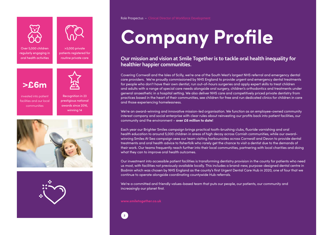



Over 5,000 children regularly engaging in oral health activities

>3,000 private patients registered for routine private care



invested into patient facilities and our local communities



awards since 2016, winning 14





Role Prospectus – Clinical Director of Workforce Development

# **Company Profile**

#### **Our mission and vision at Smile Together is to tackle oral health inequality for healthier happier communities.**

Covering Cornwall and the Isles of Scilly, we're one of the South West's largest NHS referral and emergency dental care providers. We're proudly commissioned by NHS England to provide urgent and emergency dental treatments for people who don't have their own dentist, run out-of-hours surgeries and apply expert skills to treat children and adults with a range of special care needs alongside oral surgery, children's orthodontics and treatments under general anaesthetic in a hospital setting. We also deliver NHS care and competitively priced private dentistry from practices based in the heart of their communities, see children for free and run dedicated clinics for children in care and those experiencing homelessness.

We're an award-winning and innovative mission-led organisation. We function as an employee-owned community interest company and social enterprise with clear rules about reinvesting our profits back into patient facilities, our community and the environment – **over £6 million to date!** 

Each year our Brighter Smiles campaign brings practical tooth-brushing clubs, fluoride varnishing and oral health education to around 5,000 children in areas of high decay across Cornish communities, while our awardwinning Smiles At Sea campaign sees our team visiting harboursides across Cornwall and Devon to provide dental treatments and oral health advice to fisherfolk who rarely get the chance to visit a dentist due to the demands of their work. Our teams frequently reach further into their local communities, partnering with local charities and doing what they can to improve oral health outcomes.

Our investment into accessible patient facilities is transforming dentistry provision in the county for patients who need us most, with facilities not previously available locally. This includes a brand-new, purpose-designed dental centre in Bodmin which was chosen by NHS England as the county's first Urgent Dental Care Hub in 2020, one of four that we continue to operate alongside coordinating countywide Hub referrals.

We're a committed and friendly values-based team that puts our people, our patients, our community and increasingly our planet first.

**www.smiletogether.co.uk**

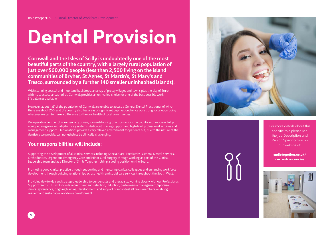## **Dental Provision**

**Cornwall and the Isles of Scilly is undoubtedly one of the most beautiful parts of the country, with a largely rural population of just over 560,000 people (less than 2,500 living on the island communities of Bryher, St Agnes, St Martin's, St Mary's and Tresco, surrounded by a further 140 smaller uninhabited islands).**

With stunning coastal and moorland backdrops, an array of pretty villages and towns plus the city of Truro with its spectacular cathedral, Cornwall provides an unrivalled choice for one of the best possible worklife balances available.

However, about half of the population of Cornwall are unable to access a General Dental Practitioner of which there are about 200, and the county also has areas of significant deprivation, hence our strong focus upon doing whatever we can to make a difference to the oral health of local communities.

We operate a number of commercially driven, forward-looking practices across the county with modern, fullyequipped surgeries with digital x-ray systems, dedicated nursing support and high-level professional services and management support. Our locations provide a very relaxed environment for patients but, due to the nature of the dentistry we provide, can nonetheless be clinically challenging.

#### **Your responsibilities will include:**

Supporting the development of all clinical services including Special Care, Paediatrics, General Dental Services, Orthodontics, Urgent and Emergency Care and Minor Oral Surgery through working as part of the Clinical Leadership team and as a Director of Smile Together holding a voting position on the Board.

Promoting good clinical practice through supporting and mentoring clinical colleagues and enhancing workforce development through building relationships across health and social care services throughout the South West.

Providing day-to-day and strategic leadership to our dentists and therapists, working closely with our Professional Support teams. This will include recruitment and selection, induction, performance management/appraisal, clinical governance, ongoing training, development, and support of individual all team members, enabling resilient and sustainable workforce development.



For more details about this specific role please see the Job Description and Person Specification on our website at:

**[smiletogether.co.uk/](http://www.smiletogether.co.uk/current-vacancies) [current-vacancies](http://www.smiletogether.co.uk/current-vacancies)**

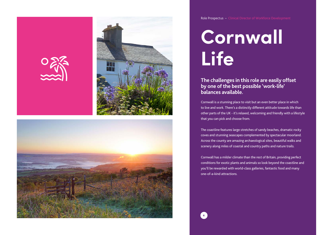





Role Prospectus – Clinical Director of Workforce Development

### **Cornwall Life**

**The challenges in this role are easily offset by one of the best possible 'work-life' balances available.** 

Cornwall is a stunning place to visit but an even better place in which to live and work. There's a distinctly different attitude towards life than other parts of the UK - it's relaxed, welcoming and friendly with a lifestyle that you can pick and choose from.

The coastline features large stretches of sandy beaches, dramatic rocky coves and stunning seascapes complemented by spectacular moorland. Across the county are amazing archaeological sites, beautiful walks and scenery along miles of coastal and country paths and nature trails.

Cornwall has a milder climate than the rest of Britain, providing perfect conditions for exotic plants and animals so look beyond the coastline and you'll be rewarded with world-class galleries, fantastic food and many one-of-a-kind attractions.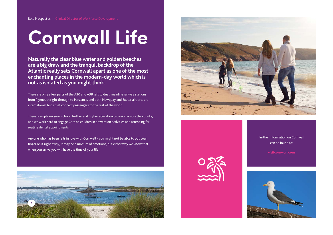## **Cornwall Life**

**Naturally the clear blue water and golden beaches are a big draw and the tranquil backdrop of the Atlantic really sets Cornwall apart as one of the most enchanting places in the modern-day world which is not as isolated as you might think.** 

There are only a few parts of the A30 and A38 left to dual, mainline railway stations from Plymouth right through to Penzance, and both Newquay and Exeter airports are international hubs that connect passengers to the rest of the world.

There is ample nursery, school, further and higher education provision across the county, and we work hard to engage Cornish children in prevention activities and attending for routine dental appointments.

Anyone who has been falls in love with Cornwall - you might not be able to put your finger on it right away, it may be a mixture of emotions, but either way we know that when you arrive you will have the time of your life.





Further information on Cornwall can be found at:

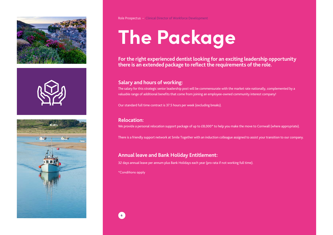





Role Prospectus – Clinical Director of Workforce Development

# **The Package**

**For the right experienced dentist looking for an exciting leadership opportunity there is an extended package to reflect the requirements of the role.** 

#### **Salary and hours of working:**

The salary for this strategic senior leadership post will be commensurate with the market rate nationally, complemented by a valuable range of additional benefits that come from joining an employee-owned community interest company!

Our standard full time contract is 37.5 hours per week (excluding breaks).

#### **Relocation:**

We provide a personal relocation support package of up to £8,000\* to help you make the move to Cornwall (where appropriate).

There is a friendly support network at Smile Together with an induction colleague assigned to assist your transition to our company.

#### **Annual leave and Bank Holiday Entitlement:**

32 days annual leave per annum plus Bank Holidays each year (pro rata if not working full time).

\*Conditions apply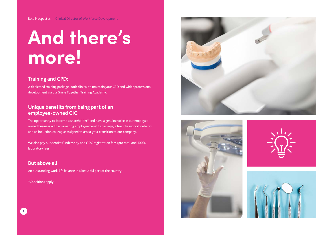### **And there's more!**

#### **Training and CPD:**

A dedicated training package, both clinical to maintain your CPD and wider professional development via our Smile Together Training Academy.

#### **Unique benefits from being part of an employee-owned CIC:**

The opportunity to become a shareholder\* and have a genuine voice in our employeeowned business with an amazing employee benefits package, a friendly support network and an induction colleague assigned to assist your transition to our company.

We also pay our dentists' indemnity and GDC registration fees (pro rata) and 100% laboratory fees.

**But above all:** An outstanding work-life balance in a beautiful part of the country

\*Conditions apply





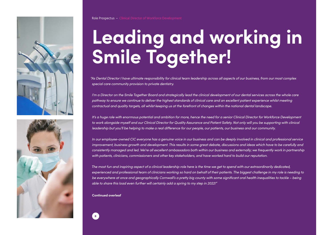



## **Leading and working in Smile Together!**

*"As Dental Director I have ultimate responsibility for clinical team leadership across all aspects of our business, from our most complex special care community provision to private dentistry.* 

*I'm a Director on the Smile Together Board and strategically lead the clinical development of our dental services across the whole care pathway to ensure we continue to deliver the highest standards of clinical care and an excellent patient experience whilst meeting contractual and quality targets, all whilst keeping us at the forefront of changes within the national dental landscape.*

*It's a huge role with enormous potential and ambition for more, hence the need for a senior Clinical Director for Workforce Development to work alongside myself and our Clinical Director for Quality Assurance and Patient Safety. Not only will you be supporting with clinical leadership but you'll be helping to make a real difference for our people, our patients, our business and our community.*

*In our employee-owned CIC everyone has a genuine voice in our business and can be deeply involved in clinical and professional service*  improvement, business growth and development. This results in some great debate, discussions and ideas which have to be carefully and *consistently managed and led. We're all excellent ambassadors both within our business and externally; we frequently work in partnership with patients, clinicians, commissioners and other key stakeholders, and have worked hard to build our reputation.*

*The most fun and inspiring aspect of a clinical leadership role here is the time we get to spend with our extraordinarily dedicated, experienced and professional team of clinicians working so hard on behalf of their patients. The biggest challenge in my role is needing to be everywhere at once and geographically Cornwall's a pretty big county with some significant oral health inequalities to tackle – being able to share this load even further will certainly add a spring to my step in 2022!"*

**Continued overleaf**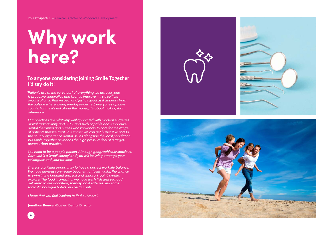### **Why work here?**

#### **To anyone considering joining Smile Together I'd say do it!**

*"Patients are at the very heart of everything we do, everyone is proactive, innovative and keen to improve – it's a selfless organisation in that respect and just as good as it appears from the outside where, being employee-owned, everyone's opinion counts. For me it's not about the money, it's about making that difference.*

*Our practices are relatively well appointed with modern surgeries, digital radiography and OPG, and such capable and supportive dental therapists and nurses who know how to care for the range of patients that we treat. In summer we can get busier if visitors to the county experience dental issues alongside the local population but Smile Together never has the high pressure feel of a targetdriven urban practice.*

*You need to be a people person. Although geographically spacious, Cornwall is a 'small county' and you will be living amongst your colleagues and your patients.*

*There is a brilliant opportunity to have a perfect work life balance. We have glorious surf-ready beaches, fantastic walks, the chance to swim in the beautiful sea, sail and windsurf, paint, create, explore! The food is amazing, we have fresh fish and seafood delivered to our doorsteps, friendly local eateries and some fantastic boutique hotels and restaurants.*

*I hope that you feel inspired to find out more".*

**Jonathan Bouwer-Davies, Dental Director**







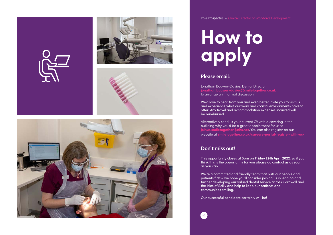



Role Prospectus – Clinical Director of Workforce Development

### **How to apply**

#### **Please email:**

Jonathan Bouwer-Davies, Dental Director **jonathan.bouwer-davies@smiletogether.co.uk** to arrange an informal discussion.

We'd love to hear from you and even better invite you to visit us and experience what our work and coastal environments have to offer! Any travel and accommodation expenses incurred will be reimbursed.

Alternatively send us your current CV with a covering letter outlining why you'd be a great appointment for us to **joinus.smiletogether@nhs.net.** You can also register on our website at **smiletogether.co.uk/careers-portal/register-with-us/**

#### **Don't miss out!**

This opportunity closes at 5pm on **Friday 29th April 2022**, so if you think this is the opportunity for you please do contact us as soon as you can.

We're a committed and friendly team that puts our people and patients first – we hope you'll consider joining us in leading and further developing our valued dental service across Cornwall and the Isles of Scilly and help to keep our patients and communities smiling.

Our successful candidate certainly will be!